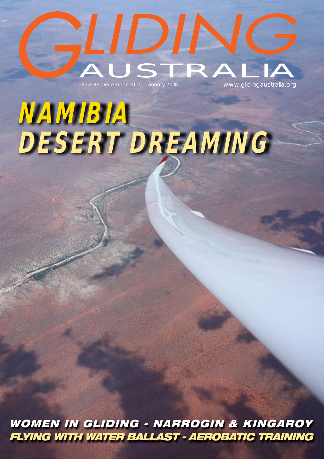

# *namibia desert dreaming*

*WOMEN IN GLIDING - NARROGIN & KINGAROY FLYING WITH WATER BALLAST - AEROBATIC TRAINING*